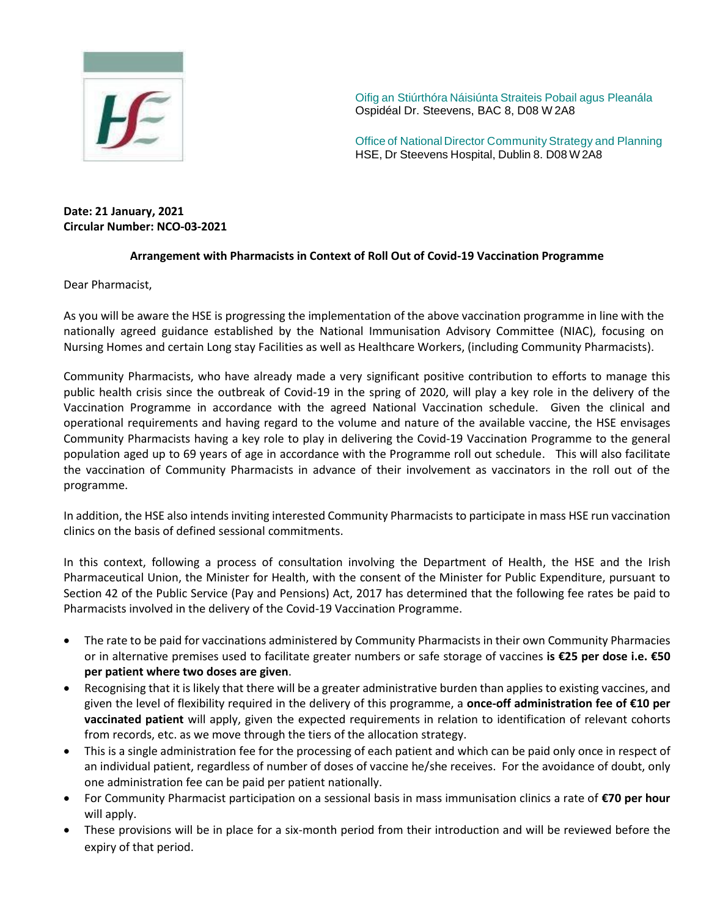

Oifig an Stiúrthóra Náisiúnta Straiteis Pobail agus Pleanála Ospidéal Dr. Steevens, BAC 8, D08 W 2A8

Office of National Director Community Strategy and Planning HSE, Dr Steevens Hospital, Dublin 8. D08 W2A8

## **Date: 21 January, 2021 Circular Number: NCO-03-2021**

## **Arrangement with Pharmacists in Context of Roll Out of Covid-19 Vaccination Programme**

Dear Pharmacist,

As you will be aware the HSE is progressing the implementation of the above vaccination programme in line with the nationally agreed guidance established by the National Immunisation Advisory Committee (NIAC), focusing on Nursing Homes and certain Long stay Facilities as well as Healthcare Workers, (including Community Pharmacists).

Community Pharmacists, who have already made a very significant positive contribution to efforts to manage this public health crisis since the outbreak of Covid-19 in the spring of 2020, will play a key role in the delivery of the Vaccination Programme in accordance with the agreed National Vaccination schedule. Given the clinical and operational requirements and having regard to the volume and nature of the available vaccine, the HSE envisages Community Pharmacists having a key role to play in delivering the Covid-19 Vaccination Programme to the general population aged up to 69 years of age in accordance with the Programme roll out schedule. This will also facilitate the vaccination of Community Pharmacists in advance of their involvement as vaccinators in the roll out of the programme.

In addition, the HSE also intends inviting interested Community Pharmacists to participate in mass HSE run vaccination clinics on the basis of defined sessional commitments.

In this context, following a process of consultation involving the Department of Health, the HSE and the Irish Pharmaceutical Union, the Minister for Health, with the consent of the Minister for Public Expenditure, pursuant to Section 42 of the Public Service (Pay and Pensions) Act, 2017 has determined that the following fee rates be paid to Pharmacists involved in the delivery of the Covid-19 Vaccination Programme.

- The rate to be paid for vaccinations administered by Community Pharmacists in their own Community Pharmacies or in alternative premises used to facilitate greater numbers or safe storage of vaccines **is €25 per dose i.e. €50 per patient where two doses are given**.
- Recognising that it is likely that there will be a greater administrative burden than applies to existing vaccines, and given the level of flexibility required in the delivery of this programme, a **once-off administration fee of €10 per vaccinated patient** will apply, given the expected requirements in relation to identification of relevant cohorts from records, etc. as we move through the tiers of the allocation strategy.
- This is a single administration fee for the processing of each patient and which can be paid only once in respect of an individual patient, regardless of number of doses of vaccine he/she receives. For the avoidance of doubt, only one administration fee can be paid per patient nationally.
- For Community Pharmacist participation on a sessional basis in mass immunisation clinics a rate of **€70 per hour**  will apply.
- These provisions will be in place for a six-month period from their introduction and will be reviewed before the expiry of that period.